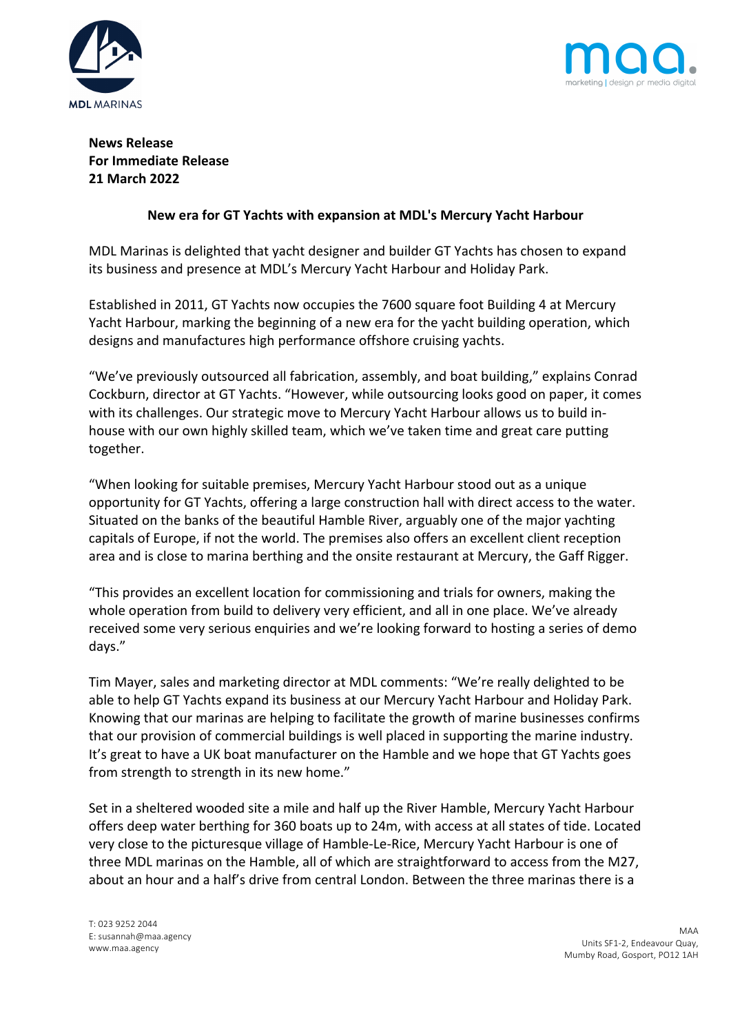



# **News Release For Immediate Release 21 March 2022**

## **New era for GT Yachts with expansion at MDL's Mercury Yacht Harbour**

MDL Marinas is delighted that yacht designer and builder GT Yachts has chosen to expand its business and presence at MDL's Mercury Yacht Harbour and Holiday Park.

Established in 2011, GT Yachts now occupies the 7600 square foot Building 4 at Mercury Yacht Harbour, marking the beginning of a new era for the yacht building operation, which designs and manufactures high performance offshore cruising yachts.

"We've previously outsourced all fabrication, assembly, and boat building," explains Conrad Cockburn, director at GT Yachts. "However, while outsourcing looks good on paper, it comes with its challenges. Our strategic move to Mercury Yacht Harbour allows us to build inhouse with our own highly skilled team, which we've taken time and great care putting together.

"When looking for suitable premises, Mercury Yacht Harbour stood out as a unique opportunity for GT Yachts, offering a large construction hall with direct access to the water. Situated on the banks of the beautiful Hamble River, arguably one of the major yachting capitals of Europe, if not the world. The premises also offers an excellent client reception area and is close to marina berthing and the onsite restaurant at Mercury, the Gaff Rigger.

"This provides an excellent location for commissioning and trials for owners, making the whole operation from build to delivery very efficient, and all in one place. We've already received some very serious enquiries and we're looking forward to hosting a series of demo days."

Tim Mayer, sales and marketing director at MDL comments: "We're really delighted to be able to help GT Yachts expand its business at our Mercury Yacht Harbour and Holiday Park. Knowing that our marinas are helping to facilitate the growth of marine businesses confirms that our provision of commercial buildings is well placed in supporting the marine industry. It's great to have a UK boat manufacturer on the Hamble and we hope that GT Yachts goes from strength to strength in its new home."

Set in a sheltered wooded site a mile and half up the River Hamble, Mercury Yacht Harbour offers deep water berthing for 360 boats up to 24m, with access at all states of tide. Located very close to the picturesque village of Hamble-Le-Rice, Mercury Yacht Harbour is one of three MDL marinas on the Hamble, all of which are straightforward to access from the M27, about an hour and a half's drive from central London. Between the three marinas there is a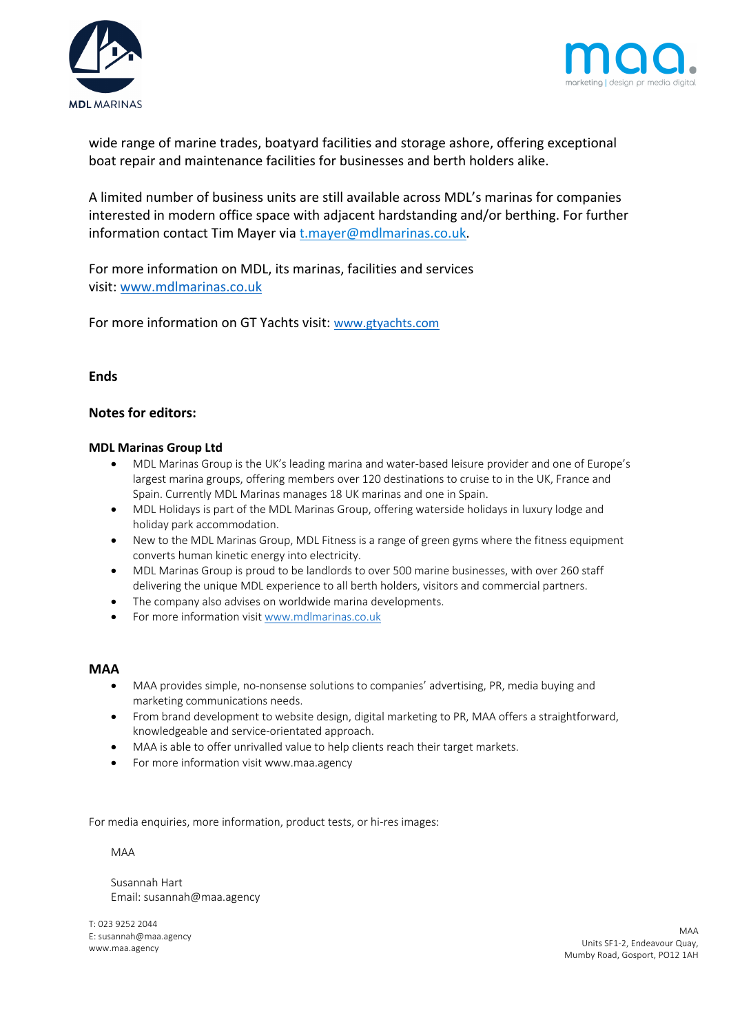



wide range of marine trades, boatyard facilities and storage ashore, offering exceptional boat repair and maintenance facilities for businesses and berth holders alike.

A limited number of business units are still available across MDL's marinas for companies interested in modern office space with adjacent hardstanding and/or berthing. For further information contact Tim Mayer via t.mayer@mdlmarinas.co.uk.

For more information on MDL, its marinas, facilities and services visit: www.mdlmarinas.co.uk

For more information on GT Yachts visit: www.gtyachts.com

## **Ends**

### **Notes for editors:**

#### **MDL Marinas Group Ltd**

- MDL Marinas Group is the UK's leading marina and water-based leisure provider and one of Europe's largest marina groups, offering members over 120 destinations to cruise to in the UK, France and Spain. Currently MDL Marinas manages 18 UK marinas and one in Spain.
- MDL Holidays is part of the MDL Marinas Group, offering waterside holidays in luxury lodge and holiday park accommodation.
- New to the MDL Marinas Group, MDL Fitness is a range of green gyms where the fitness equipment converts human kinetic energy into electricity.
- MDL Marinas Group is proud to be landlords to over 500 marine businesses, with over 260 staff delivering the unique MDL experience to all berth holders, visitors and commercial partners.
- The company also advises on worldwide marina developments.
- For more information visit www.mdlmarinas.co.uk

#### **MAA**

- MAA provides simple, no-nonsense solutions to companies' advertising, PR, media buying and marketing communications needs.
- From brand development to website design, digital marketing to PR, MAA offers a straightforward, knowledgeable and service-orientated approach.
- MAA is able to offer unrivalled value to help clients reach their target markets.
- For more information visit www.maa.agency

For media enquiries, more information, product tests, or hi-res images:

#### MAA

Susannah Hart Email: susannah@maa.agency

T: 023 9252 2044 E: susannah@maa.agency www.maa.agency